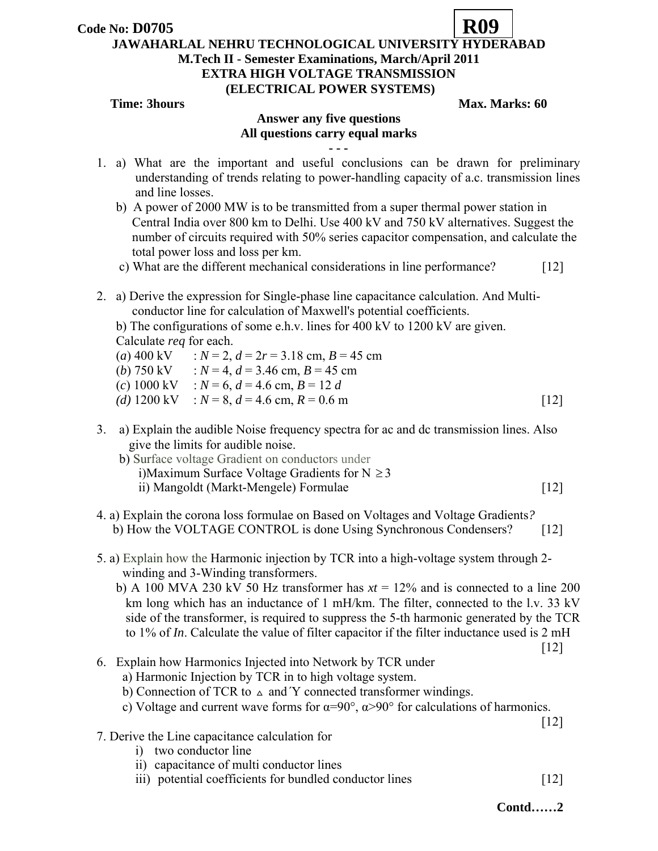

### **JAWAHARLAL NEHRU TECHNOLOGICAL UNIVERSITY HYDERABAD M.Tech II - Semester Examinations, March/April 2011**

## **EXTRA HIGH VOLTAGE TRANSMISSION**

# **(ELECTRICAL POWER SYSTEMS)**

### **Time: 3hours** Max. Marks: 60

## **Answer any five questions All questions carry equal marks - - -**

- 1. a) What are the important and useful conclusions can be drawn for preliminary understanding of trends relating to power-handling capacity of a.c. transmission lines and line losses.
	- b) A power of 2000 MW is to be transmitted from a super thermal power station in Central India over 800 km to Delhi. Use 400 kV and 750 kV alternatives. Suggest the number of circuits required with 50% series capacitor compensation, and calculate the total power loss and loss per km.
	- c) What are the different mechanical considerations in line performance? [12]
- 2. a) Derive the expression for Single-phase line capacitance calculation. And Multi conductor line for calculation of Maxwell's potential coefficients.

b) The configurations of some e.h.v. lines for 400 kV to 1200 kV are given. Calculate *req* for each.

- $(a) 400 \text{ kV}$  :  $N = 2$ ,  $d = 2r = 3.18 \text{ cm}$ ,  $B = 45 \text{ cm}$
- (*b*) 750 kV :  $N = 4$ ,  $d = 3.46$  cm,  $B = 45$  cm
- $(c) 1000 \text{ kV}$  :  $N = 6$ ,  $d = 4.6 \text{ cm}$ ,  $B = 12 d$
- $(d) 1200 \text{ kV}$  :  $N = 8$ ,  $d = 4.6 \text{ cm}$ ,  $R = 0.6 \text{ m}$  [12]
- 3. a) Explain the audible Noise frequency spectra for ac and dc transmission lines. Also give the limits for audible noise.
	- b) Surface voltage Gradient on conductors under i)Maximum Surface Voltage Gradients for  $N \geq 3$ ii) Mangoldt (Markt-Mengele) Formulae [12]
- 4. a) Explain the corona loss formulae on Based on Voltages and Voltage Gradients*?*  b) How the VOLTAGE CONTROL is done Using Synchronous Condensers? [12]
- 5. a) Explain how the Harmonic injection by TCR into a high-voltage system through 2 winding and 3-Winding transformers.
	- b) A 100 MVA 230 kV 50 Hz transformer has  $xt = 12\%$  and is connected to a line 200 km long which has an inductance of 1 mH/km. The filter, connected to the l.v. 33 kV side of the transformer, is required to suppress the 5-th harmonic generated by the TCR to 1% of *In*. Calculate the value of filter capacitor if the filter inductance used is 2 mH

 $[12]$ 

- 6. Explain how Harmonics Injected into Network by TCR under
	- a) Harmonic Injection by TCR in to high voltage system.
	- b) Connection of TCR to  $\Delta$  and Y connected transformer windings.
	- c) Voltage and current wave forms for  $\alpha=90^\circ$ ,  $\alpha>90^\circ$  for calculations of harmonics.

 $[12]$ 

- 7. Derive the Line capacitance calculation for
	- i) two conductor line
	- ii) capacitance of multi conductor lines
	- iii) potential coefficients for bundled conductor lines [12]